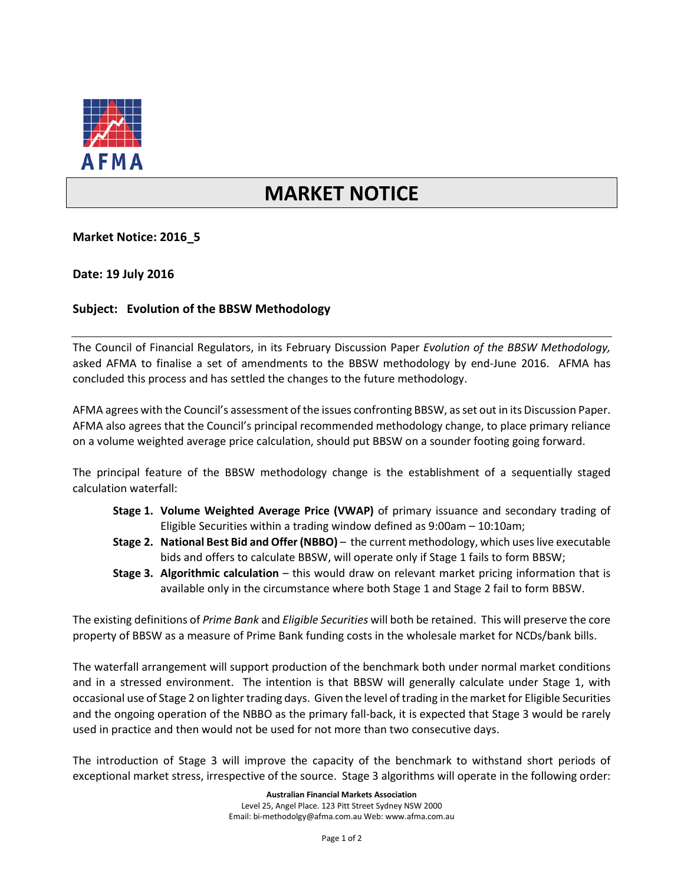

## **MARKET NOTICE**

**Market Notice: 2016\_5**

**Date: 19 July 2016**

## **Subject: Evolution of the BBSW Methodology**

The Council of Financial Regulators, in its February Discussion Paper *Evolution of the BBSW Methodology,* asked AFMA to finalise a set of amendments to the BBSW methodology by end-June 2016. AFMA has concluded this process and has settled the changes to the future methodology.

AFMA agrees with the Council's assessment of the issues confronting BBSW, as set out in its Discussion Paper. AFMA also agrees that the Council's principal recommended methodology change, to place primary reliance on a volume weighted average price calculation, should put BBSW on a sounder footing going forward.

The principal feature of the BBSW methodology change is the establishment of a sequentially staged calculation waterfall:

- **Stage 1. Volume Weighted Average Price (VWAP)** of primary issuance and secondary trading of Eligible Securities within a trading window defined as 9:00am – 10:10am;
- **Stage 2. National Best Bid and Offer (NBBO)** the current methodology, which uses live executable bids and offers to calculate BBSW, will operate only if Stage 1 fails to form BBSW;
- **Stage 3. Algorithmic calculation** this would draw on relevant market pricing information that is available only in the circumstance where both Stage 1 and Stage 2 fail to form BBSW.

The existing definitions of *Prime Bank* and *Eligible Securities* will both be retained. This will preserve the core property of BBSW as a measure of Prime Bank funding costs in the wholesale market for NCDs/bank bills.

The waterfall arrangement will support production of the benchmark both under normal market conditions and in a stressed environment. The intention is that BBSW will generally calculate under Stage 1, with occasional use of Stage 2 on lighter trading days. Given the level of trading in the market for Eligible Securities and the ongoing operation of the NBBO as the primary fall-back, it is expected that Stage 3 would be rarely used in practice and then would not be used for not more than two consecutive days.

The introduction of Stage 3 will improve the capacity of the benchmark to withstand short periods of exceptional market stress, irrespective of the source. Stage 3 algorithms will operate in the following order: